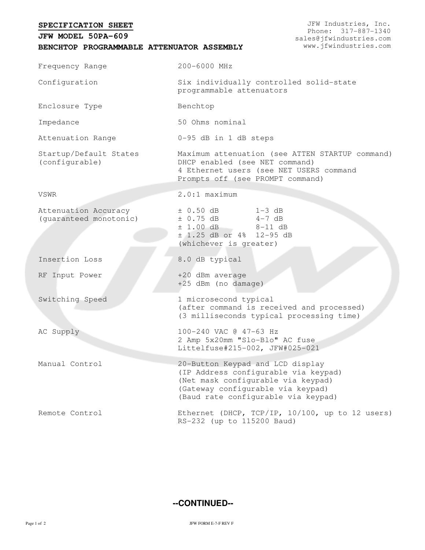## **BENCHTOP PROGRAMMABLE ATTENUATOR ASSEMBLY SPECIFICATION SHEET JFW MODEL 50PA-609** JFW Industries, Inc. Phone: 317-887-1340 sales@jfwindustries.com www.jfwindustries.com Frequency Range 200-6000 MHz Configuration **Six individually controlled solid-state** programmable attenuators Enclosure Type Benchtop Impedance 50 Ohms nominal Attenuation Range 0-95 dB in 1 dB steps Startup/Default States (configurable) Maximum attenuation (see ATTEN STARTUP command) DHCP enabled (see NET command) 4 Ethernet users (see NET USERS command Prompts off (see PROMPT command) VSWR 2.0:1 maximum Attenuation Accuracy (guaranteed monotonic) ± 0.50 dB 1-3 dB  $\pm$  0.75 dB  $4-7$  dB  $± 1.00$  dB  $8-11$  dB ± 1.25 dB or 4% 12-95 dB (whichever is greater) Insertion Loss 8.0 dB typical RF Input Power +20 dBm average +25 dBm (no damage) Switching Speed 1 microsecond typical (after command is received and processed) (3 milliseconds typical processing time) AC Supply 100-240 VAC @ 47-63 Hz 2 Amp 5x20mm "Slo-Blo" AC fuse Littelfuse#215-002, JFW#025-021 Manual Control 20-Button Keypad and LCD display (IP Address configurable via keypad) (Net mask configurable via keypad) (Gateway configurable via keypad) (Baud rate configurable via keypad) Remote Control Ethernet (DHCP, TCP/IP, 10/100, up to 12 users) RS-232 (up to 115200 Baud)